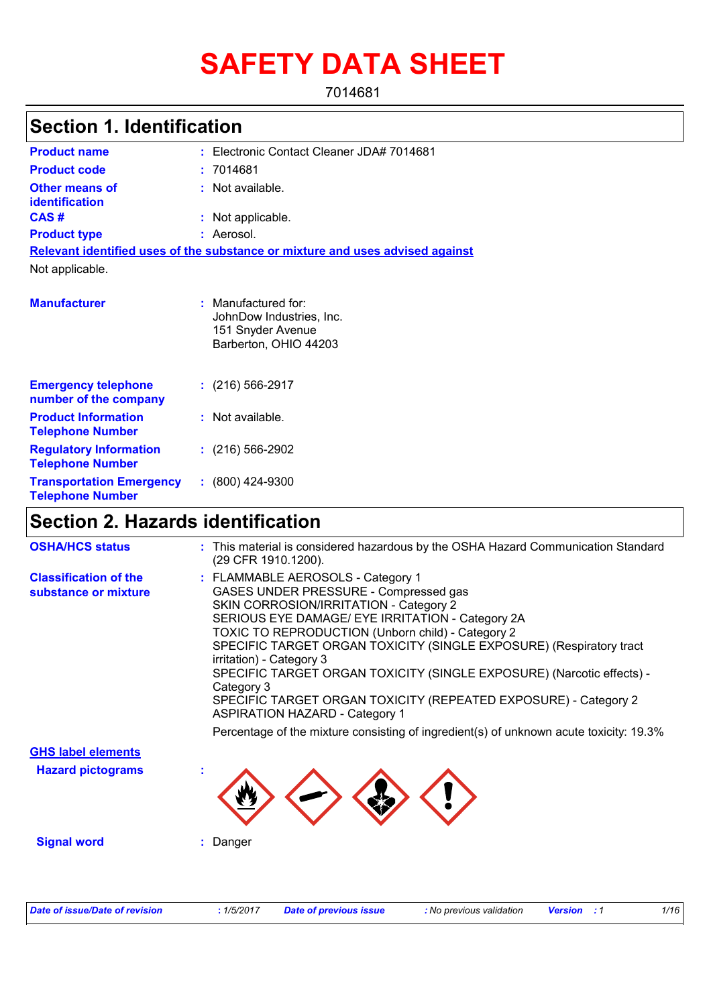# **SAFETY DATA SHEET**

7014681

## **Section 1. Identification**

| <b>Product name</b>                                        | : Electronic Contact Cleaner JDA# 7014681                                                     |
|------------------------------------------------------------|-----------------------------------------------------------------------------------------------|
| <b>Product code</b>                                        | : 7014681                                                                                     |
| <b>Other means of</b><br>identification                    | : Not available.                                                                              |
| CAS#                                                       | : Not applicable.                                                                             |
| <b>Product type</b>                                        | : Aerosol.                                                                                    |
|                                                            | Relevant identified uses of the substance or mixture and uses advised against                 |
| Not applicable.                                            |                                                                                               |
| <b>Manufacturer</b>                                        | : Manufactured for:<br>JohnDow Industries, Inc.<br>151 Snyder Avenue<br>Barberton, OHIO 44203 |
| <b>Emergency telephone</b><br>number of the company        | $: (216) 566 - 2917$                                                                          |
| <b>Product Information</b><br><b>Telephone Number</b>      | : Not available.                                                                              |
| <b>Regulatory Information</b><br><b>Telephone Number</b>   | $: (216) 566-2902$                                                                            |
| <b>Transportation Emergency</b><br><b>Telephone Number</b> | $: (800)$ 424-9300                                                                            |

## **Section 2. Hazards identification**

| : This material is considered hazardous by the OSHA Hazard Communication Standard<br>(29 CFR 1910.1200).                                                                                                                                                                                                                                                                                                                                                                                                                                                                                                                      |
|-------------------------------------------------------------------------------------------------------------------------------------------------------------------------------------------------------------------------------------------------------------------------------------------------------------------------------------------------------------------------------------------------------------------------------------------------------------------------------------------------------------------------------------------------------------------------------------------------------------------------------|
| : FLAMMABLE AEROSOLS - Category 1<br>GASES UNDER PRESSURE - Compressed gas<br>SKIN CORROSION/IRRITATION - Category 2<br>SERIOUS EYE DAMAGE/ EYE IRRITATION - Category 2A<br>TOXIC TO REPRODUCTION (Unborn child) - Category 2<br>SPECIFIC TARGET ORGAN TOXICITY (SINGLE EXPOSURE) (Respiratory tract<br>irritation) - Category 3<br>SPECIFIC TARGET ORGAN TOXICITY (SINGLE EXPOSURE) (Narcotic effects) -<br>Category 3<br>SPECIFIC TARGET ORGAN TOXICITY (REPEATED EXPOSURE) - Category 2<br><b>ASPIRATION HAZARD - Category 1</b><br>Percentage of the mixture consisting of ingredient(s) of unknown acute toxicity: 19.3% |
|                                                                                                                                                                                                                                                                                                                                                                                                                                                                                                                                                                                                                               |
|                                                                                                                                                                                                                                                                                                                                                                                                                                                                                                                                                                                                                               |
| Danger                                                                                                                                                                                                                                                                                                                                                                                                                                                                                                                                                                                                                        |
|                                                                                                                                                                                                                                                                                                                                                                                                                                                                                                                                                                                                                               |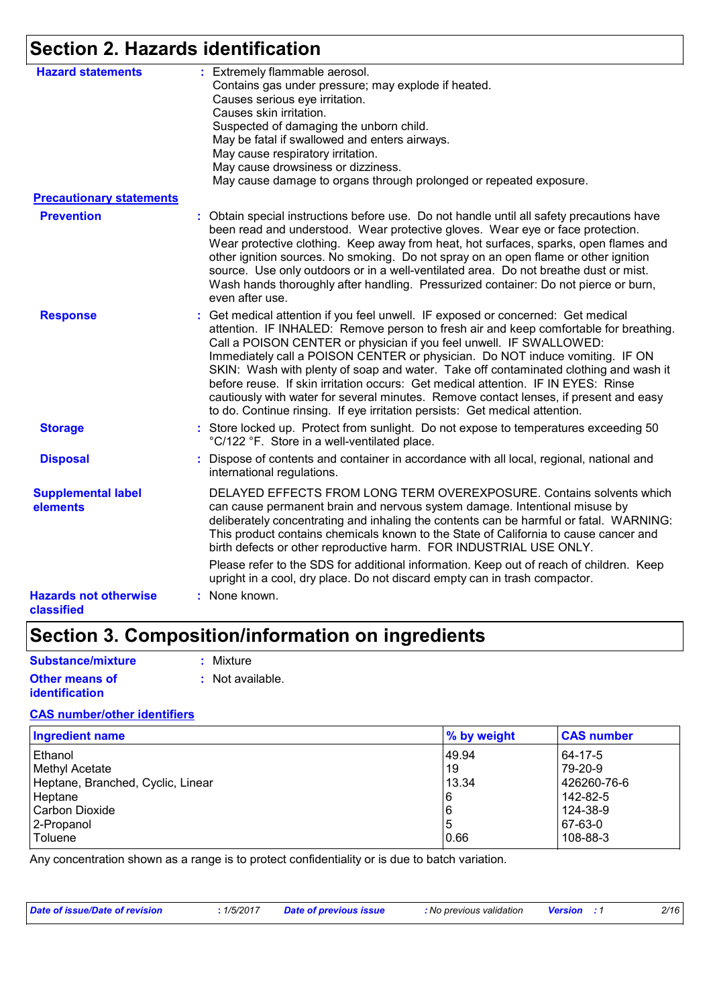## **Section 2. Hazards identification**

| <b>Hazard statements</b>                   | : Extremely flammable aerosol.<br>Contains gas under pressure; may explode if heated.<br>Causes serious eye irritation.<br>Causes skin irritation.<br>Suspected of damaging the unborn child.<br>May be fatal if swallowed and enters airways.<br>May cause respiratory irritation.<br>May cause drowsiness or dizziness.<br>May cause damage to organs through prolonged or repeated exposure.                                                                                                                                                                                                                                                                                       |
|--------------------------------------------|---------------------------------------------------------------------------------------------------------------------------------------------------------------------------------------------------------------------------------------------------------------------------------------------------------------------------------------------------------------------------------------------------------------------------------------------------------------------------------------------------------------------------------------------------------------------------------------------------------------------------------------------------------------------------------------|
| <b>Precautionary statements</b>            |                                                                                                                                                                                                                                                                                                                                                                                                                                                                                                                                                                                                                                                                                       |
| <b>Prevention</b>                          | : Obtain special instructions before use. Do not handle until all safety precautions have<br>been read and understood. Wear protective gloves. Wear eye or face protection.<br>Wear protective clothing. Keep away from heat, hot surfaces, sparks, open flames and<br>other ignition sources. No smoking. Do not spray on an open flame or other ignition<br>source. Use only outdoors or in a well-ventilated area. Do not breathe dust or mist.<br>Wash hands thoroughly after handling. Pressurized container: Do not pierce or burn,<br>even after use.                                                                                                                          |
| <b>Response</b>                            | : Get medical attention if you feel unwell. IF exposed or concerned: Get medical<br>attention. IF INHALED: Remove person to fresh air and keep comfortable for breathing.<br>Call a POISON CENTER or physician if you feel unwell. IF SWALLOWED:<br>Immediately call a POISON CENTER or physician. Do NOT induce vomiting. IF ON<br>SKIN: Wash with plenty of soap and water. Take off contaminated clothing and wash it<br>before reuse. If skin irritation occurs: Get medical attention. IF IN EYES: Rinse<br>cautiously with water for several minutes. Remove contact lenses, if present and easy<br>to do. Continue rinsing. If eye irritation persists: Get medical attention. |
| <b>Storage</b>                             | : Store locked up. Protect from sunlight. Do not expose to temperatures exceeding 50<br>°C/122 °F. Store in a well-ventilated place.                                                                                                                                                                                                                                                                                                                                                                                                                                                                                                                                                  |
| <b>Disposal</b>                            | Dispose of contents and container in accordance with all local, regional, national and<br>international regulations.                                                                                                                                                                                                                                                                                                                                                                                                                                                                                                                                                                  |
| <b>Supplemental label</b><br>elements      | DELAYED EFFECTS FROM LONG TERM OVEREXPOSURE. Contains solvents which<br>can cause permanent brain and nervous system damage. Intentional misuse by<br>deliberately concentrating and inhaling the contents can be harmful or fatal. WARNING:<br>This product contains chemicals known to the State of California to cause cancer and<br>birth defects or other reproductive harm. FOR INDUSTRIAL USE ONLY.<br>Please refer to the SDS for additional information. Keep out of reach of children. Keep<br>upright in a cool, dry place. Do not discard empty can in trash compactor.                                                                                                   |
| <b>Hazards not otherwise</b><br>classified | : None known.                                                                                                                                                                                                                                                                                                                                                                                                                                                                                                                                                                                                                                                                         |

## **Section 3. Composition/information on ingredients**

| <b>Substance/mixture</b> | : Mixture        |
|--------------------------|------------------|
| <b>Other means of</b>    | : Not available. |
| <b>identification</b>    |                  |

#### **CAS number/other identifiers**

| <b>Ingredient name</b>            | % by weight | <b>CAS number</b> |
|-----------------------------------|-------------|-------------------|
| Ethanol                           | 49.94       | 64-17-5           |
| Methyl Acetate                    | 19          | 79-20-9           |
| Heptane, Branched, Cyclic, Linear | 13.34       | 426260-76-6       |
| Heptane                           | 16          | 142-82-5          |
| Carbon Dioxide                    | 16          | 124-38-9          |
| 2-Propanol                        | 15          | 67-63-0           |
| Toluene                           | 0.66        | 108-88-3          |

Any concentration shown as a range is to protect confidentiality or is due to batch variation.

| Date of issue/Date of revision | . 1/5/2017 | <b>Date of previous issue</b> | : No previous validation | <b>Version</b> : 1 | 2/16 |
|--------------------------------|------------|-------------------------------|--------------------------|--------------------|------|
|                                |            |                               |                          |                    |      |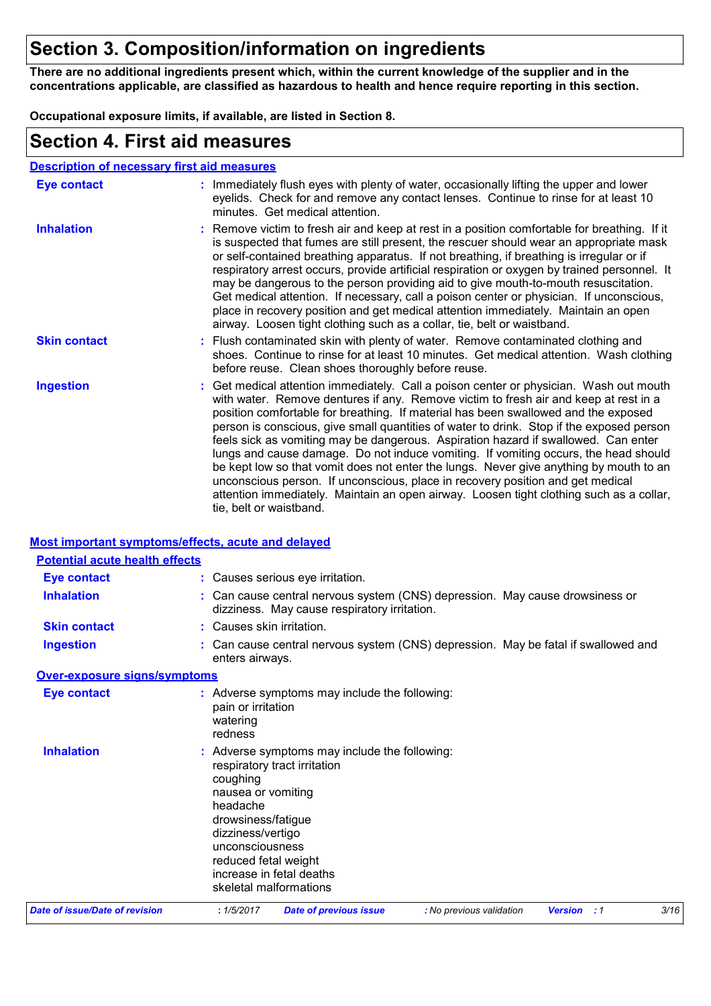## **Section 3. Composition/information on ingredients**

**There are no additional ingredients present which, within the current knowledge of the supplier and in the concentrations applicable, are classified as hazardous to health and hence require reporting in this section.**

**Occupational exposure limits, if available, are listed in Section 8.**

### **Section 4. First aid measures**

| <b>Description of necessary first aid measures</b> |                                                                                                                                                                                                                                                                                                                                                                                                                                                                                                                                                                                                                                                                                                                                                                                                                                                 |
|----------------------------------------------------|-------------------------------------------------------------------------------------------------------------------------------------------------------------------------------------------------------------------------------------------------------------------------------------------------------------------------------------------------------------------------------------------------------------------------------------------------------------------------------------------------------------------------------------------------------------------------------------------------------------------------------------------------------------------------------------------------------------------------------------------------------------------------------------------------------------------------------------------------|
| <b>Eye contact</b>                                 | : Immediately flush eyes with plenty of water, occasionally lifting the upper and lower<br>eyelids. Check for and remove any contact lenses. Continue to rinse for at least 10<br>minutes. Get medical attention.                                                                                                                                                                                                                                                                                                                                                                                                                                                                                                                                                                                                                               |
| <b>Inhalation</b>                                  | : Remove victim to fresh air and keep at rest in a position comfortable for breathing. If it<br>is suspected that fumes are still present, the rescuer should wear an appropriate mask<br>or self-contained breathing apparatus. If not breathing, if breathing is irregular or if<br>respiratory arrest occurs, provide artificial respiration or oxygen by trained personnel. It<br>may be dangerous to the person providing aid to give mouth-to-mouth resuscitation.<br>Get medical attention. If necessary, call a poison center or physician. If unconscious,<br>place in recovery position and get medical attention immediately. Maintain an open<br>airway. Loosen tight clothing such as a collar, tie, belt or waistband.                                                                                                            |
| <b>Skin contact</b>                                | : Flush contaminated skin with plenty of water. Remove contaminated clothing and<br>shoes. Continue to rinse for at least 10 minutes. Get medical attention. Wash clothing<br>before reuse. Clean shoes thoroughly before reuse.                                                                                                                                                                                                                                                                                                                                                                                                                                                                                                                                                                                                                |
| <b>Ingestion</b>                                   | : Get medical attention immediately. Call a poison center or physician. Wash out mouth<br>with water. Remove dentures if any. Remove victim to fresh air and keep at rest in a<br>position comfortable for breathing. If material has been swallowed and the exposed<br>person is conscious, give small quantities of water to drink. Stop if the exposed person<br>feels sick as vomiting may be dangerous. Aspiration hazard if swallowed. Can enter<br>lungs and cause damage. Do not induce vomiting. If vomiting occurs, the head should<br>be kept low so that vomit does not enter the lungs. Never give anything by mouth to an<br>unconscious person. If unconscious, place in recovery position and get medical<br>attention immediately. Maintain an open airway. Loosen tight clothing such as a collar,<br>tie, belt or waistband. |

#### **Most important symptoms/effects, acute and delayed**

| <b>Potential acute health effects</b> |                                                                                                                                                                                                                                                                         |
|---------------------------------------|-------------------------------------------------------------------------------------------------------------------------------------------------------------------------------------------------------------------------------------------------------------------------|
| <b>Eye contact</b>                    | : Causes serious eye irritation.                                                                                                                                                                                                                                        |
| <b>Inhalation</b>                     | : Can cause central nervous system (CNS) depression. May cause drowsiness or<br>dizziness. May cause respiratory irritation.                                                                                                                                            |
| <b>Skin contact</b>                   | : Causes skin irritation.                                                                                                                                                                                                                                               |
| <b>Ingestion</b>                      | : Can cause central nervous system (CNS) depression. May be fatal if swallowed and<br>enters airways.                                                                                                                                                                   |
| <b>Over-exposure signs/symptoms</b>   |                                                                                                                                                                                                                                                                         |
| <b>Eye contact</b>                    | : Adverse symptoms may include the following:<br>pain or irritation<br>watering<br>redness                                                                                                                                                                              |
| <b>Inhalation</b>                     | : Adverse symptoms may include the following:<br>respiratory tract irritation<br>coughing<br>nausea or vomiting<br>headache<br>drowsiness/fatigue<br>dizziness/vertigo<br>unconsciousness<br>reduced fetal weight<br>increase in fetal deaths<br>skeletal malformations |
| Date of issue/Date of revision        | 3/16<br>: 1/5/2017<br><b>Date of previous issue</b><br><b>Version</b> : 1<br>: No previous validation                                                                                                                                                                   |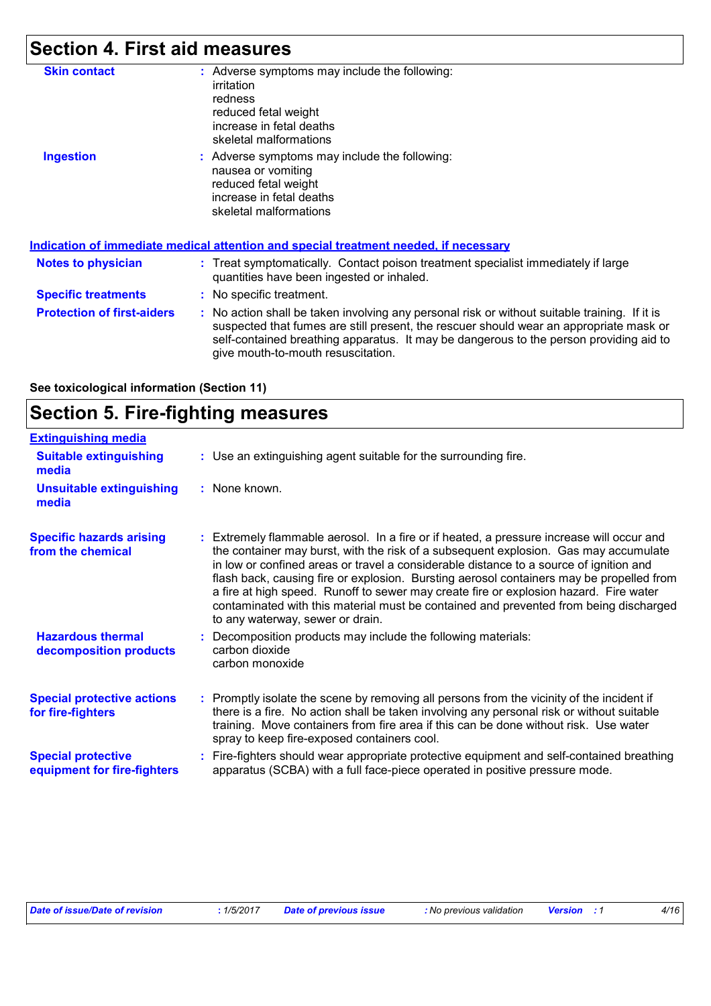# **Section 4. First aid measures**

| <b>Skin contact</b>               | : Adverse symptoms may include the following:<br>irritation<br>redness<br>reduced fetal weight<br>increase in fetal deaths<br>skeletal malformations                                                                                                                                                                    |
|-----------------------------------|-------------------------------------------------------------------------------------------------------------------------------------------------------------------------------------------------------------------------------------------------------------------------------------------------------------------------|
| <b>Ingestion</b>                  | : Adverse symptoms may include the following:<br>nausea or vomiting<br>reduced fetal weight<br>increase in fetal deaths<br>skeletal malformations<br><u>Indication of immediate medical attention and special treatment needed, if necessary</u>                                                                        |
| <b>Notes to physician</b>         | : Treat symptomatically. Contact poison treatment specialist immediately if large<br>quantities have been ingested or inhaled.                                                                                                                                                                                          |
| <b>Specific treatments</b>        | : No specific treatment.                                                                                                                                                                                                                                                                                                |
| <b>Protection of first-aiders</b> | : No action shall be taken involving any personal risk or without suitable training. If it is<br>suspected that fumes are still present, the rescuer should wear an appropriate mask or<br>self-contained breathing apparatus. It may be dangerous to the person providing aid to<br>give mouth-to-mouth resuscitation. |

| See toxicological information (Section 11) |  |  |
|--------------------------------------------|--|--|
|--------------------------------------------|--|--|

|  | <b>Section 5. Fire-fighting measures</b> |  |
|--|------------------------------------------|--|
|--|------------------------------------------|--|

| <b>Extinguishing media</b>                               |                                                                                                                                                                                                                                                                                                                                                                                                                                                                                                                                                                                               |
|----------------------------------------------------------|-----------------------------------------------------------------------------------------------------------------------------------------------------------------------------------------------------------------------------------------------------------------------------------------------------------------------------------------------------------------------------------------------------------------------------------------------------------------------------------------------------------------------------------------------------------------------------------------------|
| <b>Suitable extinguishing</b><br>media                   | : Use an extinguishing agent suitable for the surrounding fire.                                                                                                                                                                                                                                                                                                                                                                                                                                                                                                                               |
| <b>Unsuitable extinguishing</b><br>media                 | : None known.                                                                                                                                                                                                                                                                                                                                                                                                                                                                                                                                                                                 |
| <b>Specific hazards arising</b><br>from the chemical     | : Extremely flammable aerosol. In a fire or if heated, a pressure increase will occur and<br>the container may burst, with the risk of a subsequent explosion. Gas may accumulate<br>in low or confined areas or travel a considerable distance to a source of ignition and<br>flash back, causing fire or explosion. Bursting aerosol containers may be propelled from<br>a fire at high speed. Runoff to sewer may create fire or explosion hazard. Fire water<br>contaminated with this material must be contained and prevented from being discharged<br>to any waterway, sewer or drain. |
| <b>Hazardous thermal</b><br>decomposition products       | : Decomposition products may include the following materials:<br>carbon dioxide<br>carbon monoxide                                                                                                                                                                                                                                                                                                                                                                                                                                                                                            |
| <b>Special protective actions</b><br>for fire-fighters   | : Promptly isolate the scene by removing all persons from the vicinity of the incident if<br>there is a fire. No action shall be taken involving any personal risk or without suitable<br>training. Move containers from fire area if this can be done without risk. Use water<br>spray to keep fire-exposed containers cool.                                                                                                                                                                                                                                                                 |
| <b>Special protective</b><br>equipment for fire-fighters | : Fire-fighters should wear appropriate protective equipment and self-contained breathing<br>apparatus (SCBA) with a full face-piece operated in positive pressure mode.                                                                                                                                                                                                                                                                                                                                                                                                                      |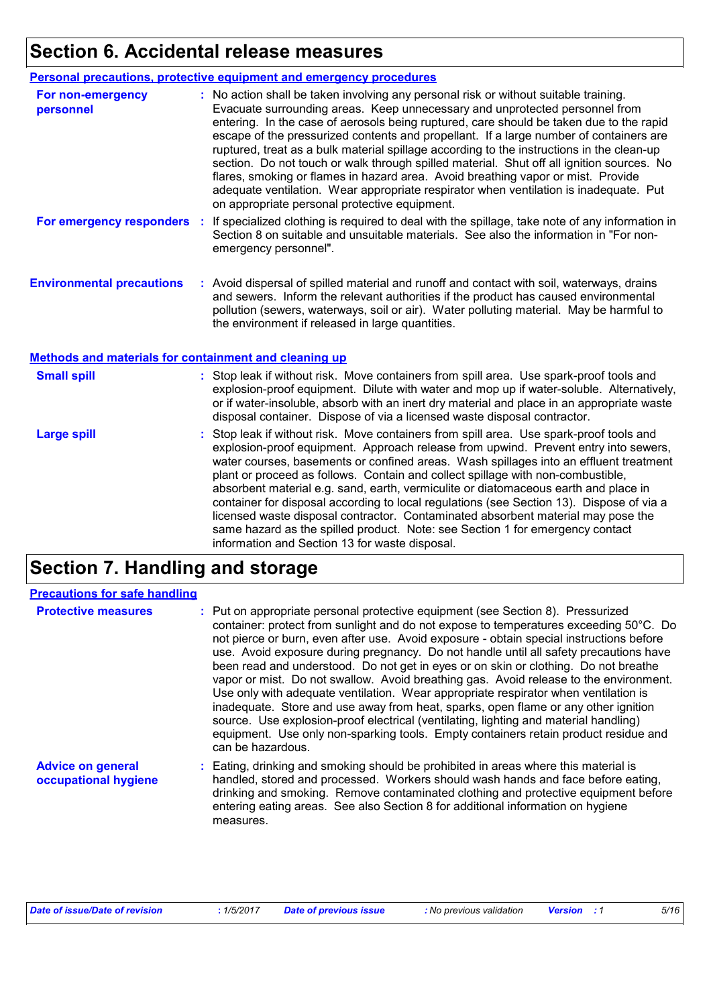## **Section 6. Accidental release measures**

|                                | <b>Personal precautions, protective equipment and emergency procedures</b>                                                                                                                                                                                                                                                                                                                                                                                                                                                                                                                                                                                                                                                                                                       |
|--------------------------------|----------------------------------------------------------------------------------------------------------------------------------------------------------------------------------------------------------------------------------------------------------------------------------------------------------------------------------------------------------------------------------------------------------------------------------------------------------------------------------------------------------------------------------------------------------------------------------------------------------------------------------------------------------------------------------------------------------------------------------------------------------------------------------|
| For non-emergency<br>personnel | : No action shall be taken involving any personal risk or without suitable training.<br>Evacuate surrounding areas. Keep unnecessary and unprotected personnel from<br>entering. In the case of aerosols being ruptured, care should be taken due to the rapid<br>escape of the pressurized contents and propellant. If a large number of containers are<br>ruptured, treat as a bulk material spillage according to the instructions in the clean-up<br>section. Do not touch or walk through spilled material. Shut off all ignition sources. No<br>flares, smoking or flames in hazard area. Avoid breathing vapor or mist. Provide<br>adequate ventilation. Wear appropriate respirator when ventilation is inadequate. Put<br>on appropriate personal protective equipment. |
| For emergency responders :     | If specialized clothing is required to deal with the spillage, take note of any information in<br>Section 8 on suitable and unsuitable materials. See also the information in "For non-<br>emergency personnel".                                                                                                                                                                                                                                                                                                                                                                                                                                                                                                                                                                 |

**Environmental precautions :** Avoid dispersal of spilled material and runoff and contact with soil, waterways, drains and sewers. Inform the relevant authorities if the product has caused environmental pollution (sewers, waterways, soil or air). Water polluting material. May be harmful to the environment if released in large quantities.

#### **Methods and materials for containment and cleaning up**

| <b>Small spill</b> | : Stop leak if without risk. Move containers from spill area. Use spark-proof tools and<br>explosion-proof equipment. Dilute with water and mop up if water-soluble. Alternatively,<br>or if water-insoluble, absorb with an inert dry material and place in an appropriate waste<br>disposal container. Dispose of via a licensed waste disposal contractor.                                                                                                                                                                                                                                                                                                                                                                                                        |
|--------------------|----------------------------------------------------------------------------------------------------------------------------------------------------------------------------------------------------------------------------------------------------------------------------------------------------------------------------------------------------------------------------------------------------------------------------------------------------------------------------------------------------------------------------------------------------------------------------------------------------------------------------------------------------------------------------------------------------------------------------------------------------------------------|
| <b>Large spill</b> | : Stop leak if without risk. Move containers from spill area. Use spark-proof tools and<br>explosion-proof equipment. Approach release from upwind. Prevent entry into sewers,<br>water courses, basements or confined areas. Wash spillages into an effluent treatment<br>plant or proceed as follows. Contain and collect spillage with non-combustible,<br>absorbent material e.g. sand, earth, vermiculite or diatomaceous earth and place in<br>container for disposal according to local regulations (see Section 13). Dispose of via a<br>licensed waste disposal contractor. Contaminated absorbent material may pose the<br>same hazard as the spilled product. Note: see Section 1 for emergency contact<br>information and Section 13 for waste disposal. |

## **Section 7. Handling and storage**

| <b>Precautions for safe handling</b>             |                                                                                                                                                                                                                                                                                                                                                                                                                                                                                                                                                                                                                                                                                                                                                                                                                                                                                                                               |
|--------------------------------------------------|-------------------------------------------------------------------------------------------------------------------------------------------------------------------------------------------------------------------------------------------------------------------------------------------------------------------------------------------------------------------------------------------------------------------------------------------------------------------------------------------------------------------------------------------------------------------------------------------------------------------------------------------------------------------------------------------------------------------------------------------------------------------------------------------------------------------------------------------------------------------------------------------------------------------------------|
| <b>Protective measures</b>                       | : Put on appropriate personal protective equipment (see Section 8). Pressurized<br>container: protect from sunlight and do not expose to temperatures exceeding 50°C. Do<br>not pierce or burn, even after use. Avoid exposure - obtain special instructions before<br>use. Avoid exposure during pregnancy. Do not handle until all safety precautions have<br>been read and understood. Do not get in eyes or on skin or clothing. Do not breathe<br>vapor or mist. Do not swallow. Avoid breathing gas. Avoid release to the environment.<br>Use only with adequate ventilation. Wear appropriate respirator when ventilation is<br>inadequate. Store and use away from heat, sparks, open flame or any other ignition<br>source. Use explosion-proof electrical (ventilating, lighting and material handling)<br>equipment. Use only non-sparking tools. Empty containers retain product residue and<br>can be hazardous. |
| <b>Advice on general</b><br>occupational hygiene | : Eating, drinking and smoking should be prohibited in areas where this material is<br>handled, stored and processed. Workers should wash hands and face before eating,<br>drinking and smoking. Remove contaminated clothing and protective equipment before<br>entering eating areas. See also Section 8 for additional information on hygiene<br>measures.                                                                                                                                                                                                                                                                                                                                                                                                                                                                                                                                                                 |

| Date of issue/Date of revision | 1/5/2017 | <b>Date of previous issue</b> | : No previous validation | <b>Version</b> : 1 |  |
|--------------------------------|----------|-------------------------------|--------------------------|--------------------|--|
|                                |          |                               |                          |                    |  |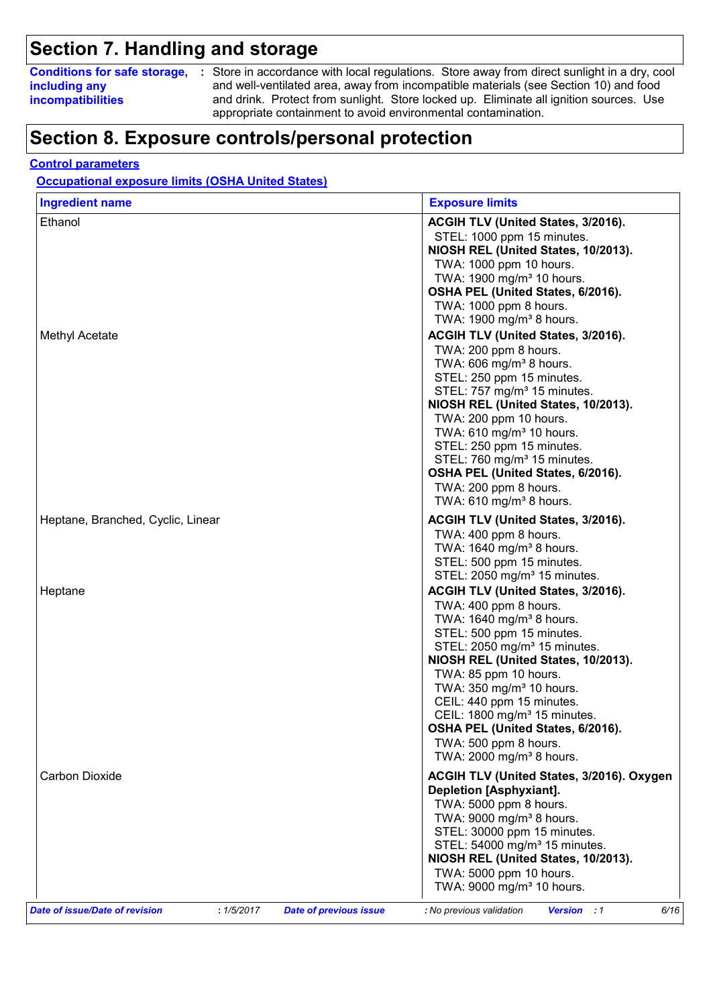## **Section 7. Handling and storage**

**including any incompatibilities**

**Conditions for safe storage,** : Store in accordance with local regulations. Store away from direct sunlight in a dry, cool and well-ventilated area, away from incompatible materials (see Section 10) and food and drink. Protect from sunlight. Store locked up. Eliminate all ignition sources. Use appropriate containment to avoid environmental contamination.

### **Section 8. Exposure controls/personal protection**

#### **Control parameters**

**Occupational exposure limits (OSHA United States)**

| <b>Ingredient name</b>                       | <b>Exposure limits</b>                                                                                                                                                                                                                                                                                                                                                                                                                                              |
|----------------------------------------------|---------------------------------------------------------------------------------------------------------------------------------------------------------------------------------------------------------------------------------------------------------------------------------------------------------------------------------------------------------------------------------------------------------------------------------------------------------------------|
| Ethanol<br>Methyl Acetate                    | ACGIH TLV (United States, 3/2016).<br>STEL: 1000 ppm 15 minutes.<br>NIOSH REL (United States, 10/2013).<br>TWA: 1000 ppm 10 hours.<br>TWA: 1900 mg/m <sup>3</sup> 10 hours.<br>OSHA PEL (United States, 6/2016).<br>TWA: 1000 ppm 8 hours.<br>TWA: 1900 mg/m <sup>3</sup> 8 hours.<br>ACGIH TLV (United States, 3/2016).                                                                                                                                            |
|                                              | TWA: 200 ppm 8 hours.<br>TWA: 606 mg/m <sup>3</sup> 8 hours.<br>STEL: 250 ppm 15 minutes.<br>STEL: 757 mg/m <sup>3</sup> 15 minutes.<br>NIOSH REL (United States, 10/2013).<br>TWA: 200 ppm 10 hours.<br>TWA: 610 mg/m <sup>3</sup> 10 hours.<br>STEL: 250 ppm 15 minutes.<br>STEL: 760 mg/m <sup>3</sup> 15 minutes.<br>OSHA PEL (United States, 6/2016).<br>TWA: 200 ppm 8 hours.<br>TWA: 610 mg/m <sup>3</sup> 8 hours.                                          |
| Heptane, Branched, Cyclic, Linear            | ACGIH TLV (United States, 3/2016).<br>TWA: 400 ppm 8 hours.<br>TWA: 1640 mg/m <sup>3</sup> 8 hours.<br>STEL: 500 ppm 15 minutes.<br>STEL: 2050 mg/m <sup>3</sup> 15 minutes.                                                                                                                                                                                                                                                                                        |
| Heptane                                      | ACGIH TLV (United States, 3/2016).<br>TWA: 400 ppm 8 hours.<br>TWA: 1640 mg/m <sup>3</sup> 8 hours.<br>STEL: 500 ppm 15 minutes.<br>STEL: 2050 mg/m <sup>3</sup> 15 minutes.<br>NIOSH REL (United States, 10/2013).<br>TWA: 85 ppm 10 hours.<br>TWA: 350 mg/m <sup>3</sup> 10 hours.<br>CEIL: 440 ppm 15 minutes.<br>CEIL: 1800 mg/m <sup>3</sup> 15 minutes.<br>OSHA PEL (United States, 6/2016).<br>TWA: 500 ppm 8 hours.<br>TWA: 2000 mg/m <sup>3</sup> 8 hours. |
| Carbon Dioxide                               | ACGIH TLV (United States, 3/2016). Oxygen<br><b>Depletion [Asphyxiant].</b><br>TWA: 5000 ppm 8 hours.<br>TWA: 9000 mg/m <sup>3</sup> 8 hours.<br>STEL: 30000 ppm 15 minutes.<br>STEL: 54000 mg/m <sup>3</sup> 15 minutes.<br>NIOSH REL (United States, 10/2013).<br>TWA: 5000 ppm 10 hours.<br>TWA: 9000 mg/m <sup>3</sup> 10 hours.                                                                                                                                |
| Date of issue/Date of revision<br>: 1/5/2017 | <b>Date of previous issue</b><br>: No previous validation<br>Version : 1<br>6/16                                                                                                                                                                                                                                                                                                                                                                                    |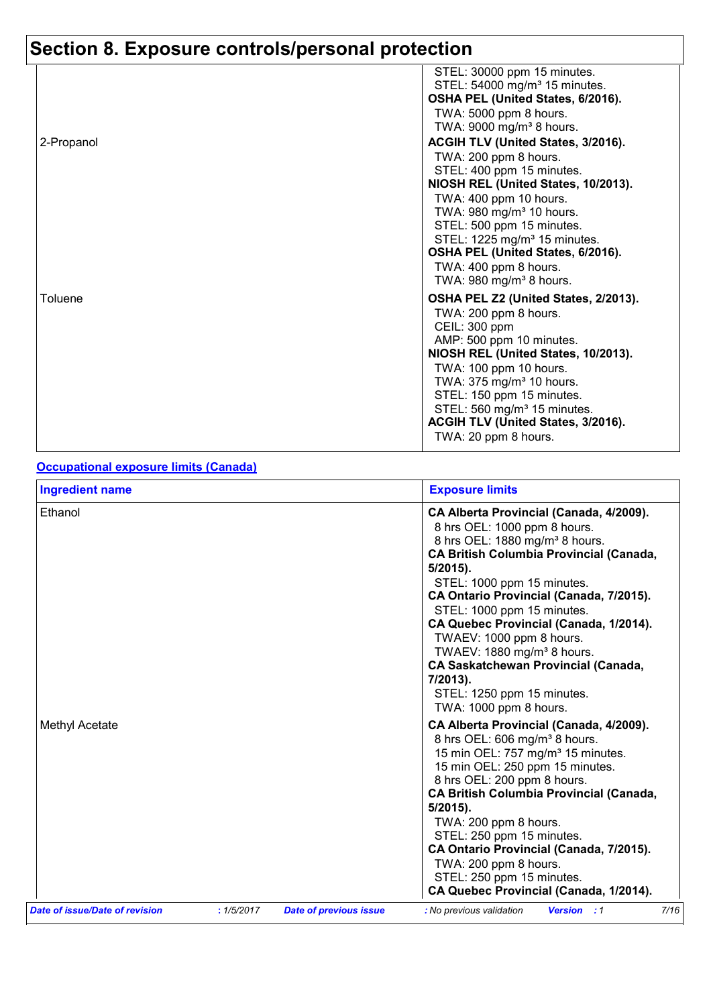## **Section 8. Exposure controls/personal protection**

|            | STEL: 30000 ppm 15 minutes.<br>STEL: 54000 mg/m <sup>3</sup> 15 minutes.<br>OSHA PEL (United States, 6/2016). |
|------------|---------------------------------------------------------------------------------------------------------------|
|            | TWA: 5000 ppm 8 hours.<br>TWA: 9000 mg/m <sup>3</sup> 8 hours.                                                |
| 2-Propanol | ACGIH TLV (United States, 3/2016).                                                                            |
|            | TWA: 200 ppm 8 hours.                                                                                         |
|            | STEL: 400 ppm 15 minutes.                                                                                     |
|            | NIOSH REL (United States, 10/2013).                                                                           |
|            | TWA: 400 ppm 10 hours.                                                                                        |
|            | TWA: 980 mg/m <sup>3</sup> 10 hours.                                                                          |
|            | STEL: 500 ppm 15 minutes.                                                                                     |
|            | STEL: 1225 mg/m <sup>3</sup> 15 minutes.                                                                      |
|            | OSHA PEL (United States, 6/2016).                                                                             |
|            | TWA: 400 ppm 8 hours.                                                                                         |
|            | TWA: $980 \text{ mg/m}^3$ 8 hours.                                                                            |
| Toluene    | OSHA PEL Z2 (United States, 2/2013).                                                                          |
|            | TWA: 200 ppm 8 hours.                                                                                         |
|            | CEIL: 300 ppm                                                                                                 |
|            | AMP: 500 ppm 10 minutes.                                                                                      |
|            | NIOSH REL (United States, 10/2013).                                                                           |
|            | TWA: 100 ppm 10 hours.                                                                                        |
|            | TWA: 375 mg/m <sup>3</sup> 10 hours.<br>STEL: 150 ppm 15 minutes.                                             |
|            | STEL: 560 mg/m <sup>3</sup> 15 minutes.                                                                       |
|            | ACGIH TLV (United States, 3/2016).                                                                            |
|            | TWA: 20 ppm 8 hours.                                                                                          |

#### **Occupational exposure limits (Canada)**

| <b>Ingredient name</b> | <b>Exposure limits</b>                                                                                                                                                                                                                                                                                                                                                                                                                                                                                                          |
|------------------------|---------------------------------------------------------------------------------------------------------------------------------------------------------------------------------------------------------------------------------------------------------------------------------------------------------------------------------------------------------------------------------------------------------------------------------------------------------------------------------------------------------------------------------|
| Ethanol                | CA Alberta Provincial (Canada, 4/2009).<br>8 hrs OEL: 1000 ppm 8 hours.<br>8 hrs OEL: 1880 mg/m <sup>3</sup> 8 hours.<br><b>CA British Columbia Provincial (Canada,</b><br>$5/2015$ ).<br>STEL: 1000 ppm 15 minutes.<br>CA Ontario Provincial (Canada, 7/2015).<br>STEL: 1000 ppm 15 minutes.<br>CA Quebec Provincial (Canada, 1/2014).<br>TWAEV: 1000 ppm 8 hours.<br>TWAEV: 1880 mg/m <sup>3</sup> 8 hours.<br><b>CA Saskatchewan Provincial (Canada,</b><br>7/2013).<br>STEL: 1250 ppm 15 minutes.<br>TWA: 1000 ppm 8 hours. |
| Methyl Acetate         | CA Alberta Provincial (Canada, 4/2009).<br>8 hrs OEL: 606 mg/m <sup>3</sup> 8 hours.<br>15 min OEL: 757 mg/m <sup>3</sup> 15 minutes.<br>15 min OEL: 250 ppm 15 minutes.<br>8 hrs OEL: 200 ppm 8 hours.<br><b>CA British Columbia Provincial (Canada,</b><br>$5/2015$ ).<br>TWA: 200 ppm 8 hours.<br>STEL: 250 ppm 15 minutes.<br>CA Ontario Provincial (Canada, 7/2015).<br>TWA: 200 ppm 8 hours.<br>STEL: 250 ppm 15 minutes.<br>CA Quebec Provincial (Canada, 1/2014).                                                       |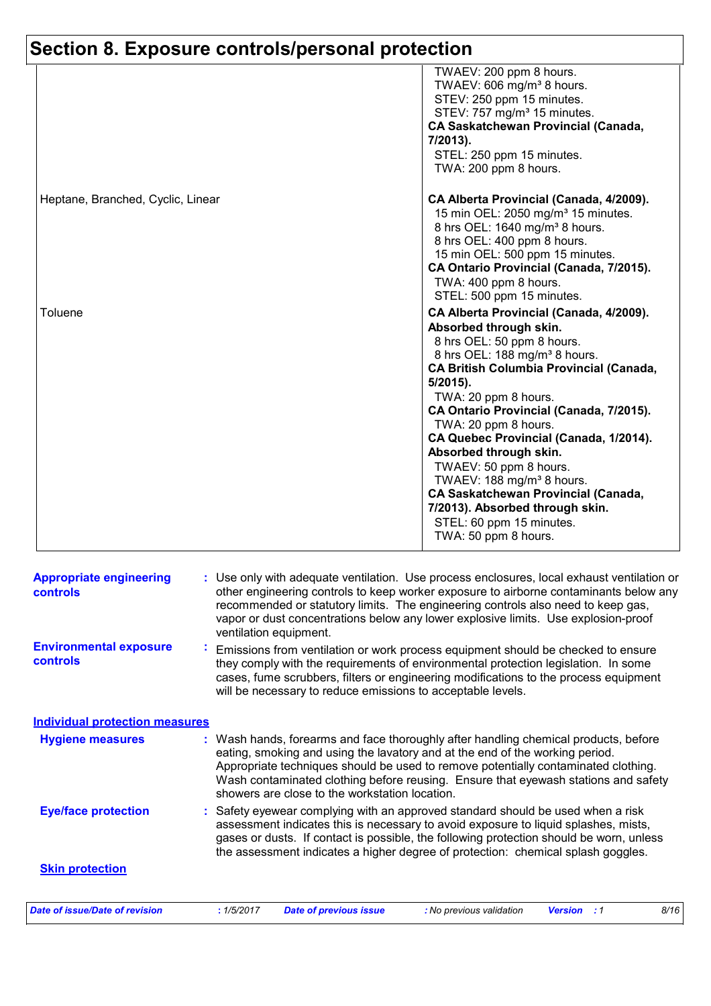## **Section 8. Exposure controls/personal protection**

|                                   | TWAEV: 200 ppm 8 hours.<br>TWAEV: 606 mg/m <sup>3</sup> 8 hours.<br>STEV: 250 ppm 15 minutes.<br>STEV: 757 mg/m <sup>3</sup> 15 minutes.<br><b>CA Saskatchewan Provincial (Canada,</b><br>7/2013).<br>STEL: 250 ppm 15 minutes.<br>TWA: 200 ppm 8 hours.                                                                                                                                                                                                                                                                                                                             |
|-----------------------------------|--------------------------------------------------------------------------------------------------------------------------------------------------------------------------------------------------------------------------------------------------------------------------------------------------------------------------------------------------------------------------------------------------------------------------------------------------------------------------------------------------------------------------------------------------------------------------------------|
| Heptane, Branched, Cyclic, Linear | CA Alberta Provincial (Canada, 4/2009).<br>15 min OEL: 2050 mg/m <sup>3</sup> 15 minutes.<br>8 hrs OEL: 1640 mg/m <sup>3</sup> 8 hours.<br>8 hrs OEL: 400 ppm 8 hours.<br>15 min OEL: 500 ppm 15 minutes.<br>CA Ontario Provincial (Canada, 7/2015).<br>TWA: 400 ppm 8 hours.<br>STEL: 500 ppm 15 minutes.                                                                                                                                                                                                                                                                           |
| Toluene                           | CA Alberta Provincial (Canada, 4/2009).<br>Absorbed through skin.<br>8 hrs OEL: 50 ppm 8 hours.<br>8 hrs OEL: 188 mg/m <sup>3</sup> 8 hours.<br><b>CA British Columbia Provincial (Canada,</b><br>$5/2015$ ).<br>TWA: 20 ppm 8 hours.<br>CA Ontario Provincial (Canada, 7/2015).<br>TWA: 20 ppm 8 hours.<br>CA Quebec Provincial (Canada, 1/2014).<br>Absorbed through skin.<br>TWAEV: 50 ppm 8 hours.<br>TWAEV: 188 mg/m <sup>3</sup> 8 hours.<br><b>CA Saskatchewan Provincial (Canada,</b><br>7/2013). Absorbed through skin.<br>STEL: 60 ppm 15 minutes.<br>TWA: 50 ppm 8 hours. |

| <b>Appropriate engineering</b><br><b>controls</b> | : Use only with adequate ventilation. Use process enclosures, local exhaust ventilation or<br>other engineering controls to keep worker exposure to airborne contaminants below any<br>recommended or statutory limits. The engineering controls also need to keep gas,<br>vapor or dust concentrations below any lower explosive limits. Use explosion-proof<br>ventilation equipment.           |
|---------------------------------------------------|---------------------------------------------------------------------------------------------------------------------------------------------------------------------------------------------------------------------------------------------------------------------------------------------------------------------------------------------------------------------------------------------------|
| <b>Environmental exposure</b><br><b>controls</b>  | ÷,<br>Emissions from ventilation or work process equipment should be checked to ensure<br>they comply with the requirements of environmental protection legislation. In some<br>cases, fume scrubbers, filters or engineering modifications to the process equipment<br>will be necessary to reduce emissions to acceptable levels.                                                               |
| <b>Individual protection measures</b>             |                                                                                                                                                                                                                                                                                                                                                                                                   |
| <b>Hygiene measures</b>                           | : Wash hands, forearms and face thoroughly after handling chemical products, before<br>eating, smoking and using the lavatory and at the end of the working period.<br>Appropriate techniques should be used to remove potentially contaminated clothing.<br>Wash contaminated clothing before reusing. Ensure that eyewash stations and safety<br>showers are close to the workstation location. |
| <b>Eye/face protection</b>                        | : Safety eyewear complying with an approved standard should be used when a risk<br>assessment indicates this is necessary to avoid exposure to liquid splashes, mists,<br>gases or dusts. If contact is possible, the following protection should be worn, unless<br>the assessment indicates a higher degree of protection: chemical splash goggles.                                             |
| <b>Skin protection</b>                            |                                                                                                                                                                                                                                                                                                                                                                                                   |
| <b>Date of issue/Date of revision</b>             | : 1/5/2017<br><b>Date of previous issue</b><br>: No previous validation<br><b>Version</b><br>8/16<br>$\cdot$ 1                                                                                                                                                                                                                                                                                    |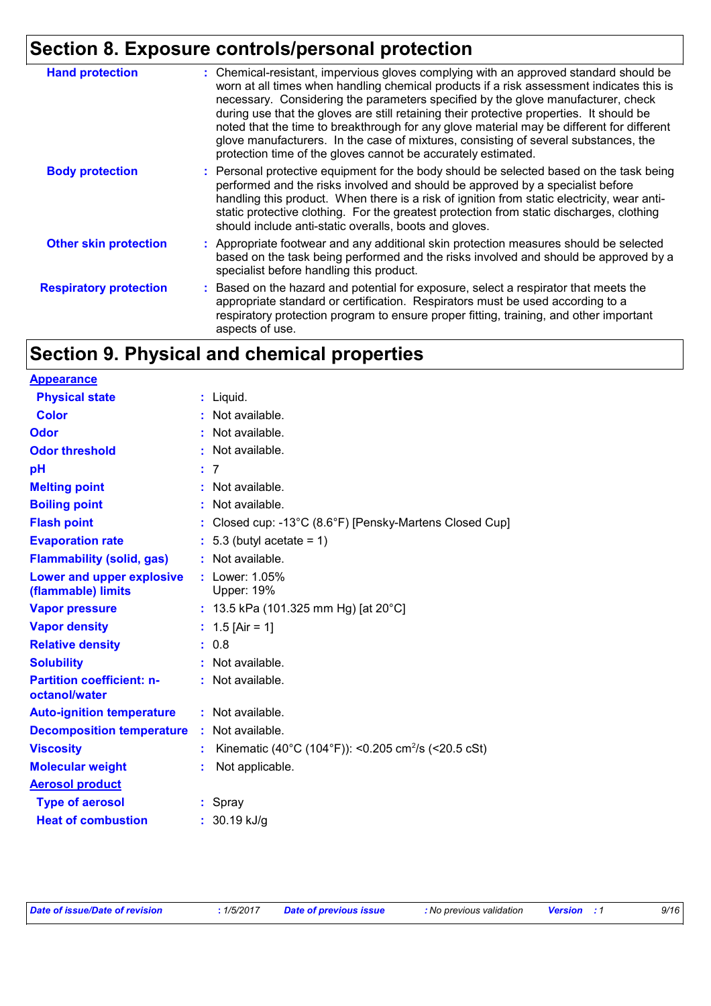## **Section 8. Exposure controls/personal protection**

| <b>Hand protection</b>        | : Chemical-resistant, impervious gloves complying with an approved standard should be<br>worn at all times when handling chemical products if a risk assessment indicates this is<br>necessary. Considering the parameters specified by the glove manufacturer, check<br>during use that the gloves are still retaining their protective properties. It should be<br>noted that the time to breakthrough for any glove material may be different for different<br>glove manufacturers. In the case of mixtures, consisting of several substances, the<br>protection time of the gloves cannot be accurately estimated. |
|-------------------------------|------------------------------------------------------------------------------------------------------------------------------------------------------------------------------------------------------------------------------------------------------------------------------------------------------------------------------------------------------------------------------------------------------------------------------------------------------------------------------------------------------------------------------------------------------------------------------------------------------------------------|
| <b>Body protection</b>        | : Personal protective equipment for the body should be selected based on the task being<br>performed and the risks involved and should be approved by a specialist before<br>handling this product. When there is a risk of ignition from static electricity, wear anti-<br>static protective clothing. For the greatest protection from static discharges, clothing<br>should include anti-static overalls, boots and gloves.                                                                                                                                                                                         |
| <b>Other skin protection</b>  | : Appropriate footwear and any additional skin protection measures should be selected<br>based on the task being performed and the risks involved and should be approved by a<br>specialist before handling this product.                                                                                                                                                                                                                                                                                                                                                                                              |
| <b>Respiratory protection</b> | : Based on the hazard and potential for exposure, select a respirator that meets the<br>appropriate standard or certification. Respirators must be used according to a<br>respiratory protection program to ensure proper fitting, training, and other important<br>aspects of use.                                                                                                                                                                                                                                                                                                                                    |

## **Section 9. Physical and chemical properties**

| <b>Appearance</b>                                 |    |                                                                 |
|---------------------------------------------------|----|-----------------------------------------------------------------|
| <b>Physical state</b>                             |    | $:$ Liquid.                                                     |
| <b>Color</b>                                      |    | : Not available.                                                |
| <b>Odor</b>                                       |    | $:$ Not available.                                              |
| <b>Odor threshold</b>                             |    | : Not available.                                                |
| рH                                                |    | :7                                                              |
| <b>Melting point</b>                              | t. | Not available.                                                  |
| <b>Boiling point</b>                              |    | Not available.                                                  |
| <b>Flash point</b>                                |    | Closed cup: -13°C (8.6°F) [Pensky-Martens Closed Cup]           |
| <b>Evaporation rate</b>                           |    | $: 5.3$ (butyl acetate = 1)                                     |
| <b>Flammability (solid, gas)</b>                  |    | Not available.                                                  |
| Lower and upper explosive<br>(flammable) limits   |    | : Lower: 1.05%<br><b>Upper: 19%</b>                             |
| <b>Vapor pressure</b>                             |    | : 13.5 kPa (101.325 mm Hg) [at 20°C]                            |
| <b>Vapor density</b>                              |    | : $1.5$ [Air = 1]                                               |
| <b>Relative density</b>                           |    | : 0.8                                                           |
| <b>Solubility</b>                                 |    | $:$ Not available.                                              |
| <b>Partition coefficient: n-</b><br>octanol/water |    | : Not available.                                                |
| <b>Auto-ignition temperature</b>                  |    | $:$ Not available.                                              |
| <b>Decomposition temperature</b>                  |    | Not available.                                                  |
| <b>Viscosity</b>                                  |    | Kinematic (40°C (104°F)): <0.205 cm <sup>2</sup> /s (<20.5 cSt) |
| <b>Molecular weight</b>                           |    | Not applicable.                                                 |
| <b>Aerosol product</b>                            |    |                                                                 |
| <b>Type of aerosol</b>                            |    | : Spray                                                         |
| <b>Heat of combustion</b>                         |    | $: 30.19$ kJ/g                                                  |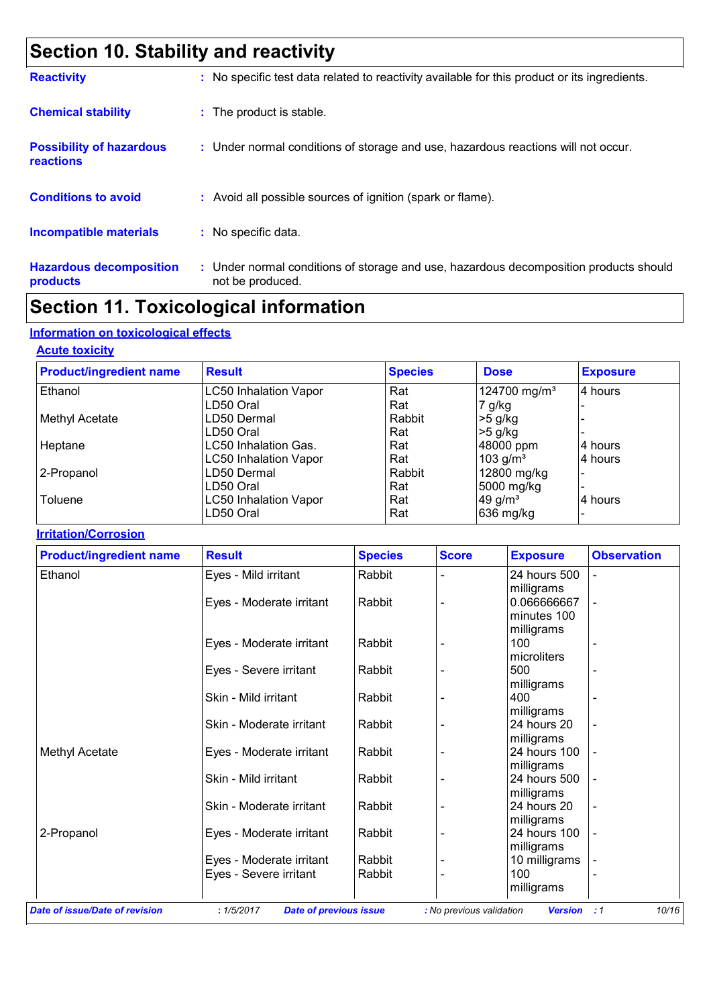## **Section 10. Stability and reactivity**

| <b>Reactivity</b>                            | : No specific test data related to reactivity available for this product or its ingredients.              |
|----------------------------------------------|-----------------------------------------------------------------------------------------------------------|
| <b>Chemical stability</b>                    | : The product is stable.                                                                                  |
| <b>Possibility of hazardous</b><br>reactions | : Under normal conditions of storage and use, hazardous reactions will not occur.                         |
| <b>Conditions to avoid</b>                   | : Avoid all possible sources of ignition (spark or flame).                                                |
| <b>Incompatible materials</b>                | : No specific data.                                                                                       |
| <b>Hazardous decomposition</b><br>products   | : Under normal conditions of storage and use, hazardous decomposition products should<br>not be produced. |

## **Section 11. Toxicological information**

### **Information on toxicological effects**

#### **Acute toxicity**

| <b>Product/ingredient name</b> | <b>Result</b>                | <b>Species</b> | <b>Dose</b>              | <b>Exposure</b> |
|--------------------------------|------------------------------|----------------|--------------------------|-----------------|
| Ethanol                        | <b>LC50 Inhalation Vapor</b> | Rat            | 124700 mg/m <sup>3</sup> | 4 hours         |
|                                | LD50 Oral                    | Rat            | 7 g/kg                   |                 |
| <b>Methyl Acetate</b>          | LD50 Dermal                  | Rabbit         | $>5$ g/kg                |                 |
|                                | LD50 Oral                    | Rat            | $>5$ g/kg                |                 |
| Heptane                        | <b>LC50 Inhalation Gas.</b>  | Rat            | 48000 ppm                | 4 hours         |
|                                | <b>LC50 Inhalation Vapor</b> | Rat            | 103 $g/m^3$              | 4 hours         |
| 2-Propanol                     | LD50 Dermal                  | Rabbit         | 12800 mg/kg              |                 |
|                                | LD50 Oral                    | Rat            | 5000 mg/kg               |                 |
| Toluene                        | <b>LC50 Inhalation Vapor</b> | Rat            | 49 $g/m3$                | 14 hours        |
|                                | LD50 Oral                    | Rat            | 636 mg/kg                |                 |

#### **Irritation/Corrosion**

| Eyes - Mild irritant<br>Eyes - Moderate irritant<br>Eyes - Moderate irritant<br>Eyes - Severe irritant | Rabbit<br>Rabbit<br>Rabbit<br>Rabbit                                                           |                                                             | 24 hours 500<br>milligrams<br>0.066666667<br>minutes 100<br>milligrams<br>100 | $\blacksquare$                                                                                                                                     |
|--------------------------------------------------------------------------------------------------------|------------------------------------------------------------------------------------------------|-------------------------------------------------------------|-------------------------------------------------------------------------------|----------------------------------------------------------------------------------------------------------------------------------------------------|
|                                                                                                        |                                                                                                |                                                             |                                                                               |                                                                                                                                                    |
|                                                                                                        |                                                                                                |                                                             |                                                                               |                                                                                                                                                    |
|                                                                                                        |                                                                                                |                                                             |                                                                               |                                                                                                                                                    |
|                                                                                                        |                                                                                                |                                                             | microliters                                                                   |                                                                                                                                                    |
|                                                                                                        |                                                                                                |                                                             | 500                                                                           |                                                                                                                                                    |
| Skin - Mild irritant                                                                                   | Rabbit                                                                                         |                                                             | milligrams<br>400                                                             | ٠                                                                                                                                                  |
|                                                                                                        |                                                                                                |                                                             | milligrams                                                                    |                                                                                                                                                    |
|                                                                                                        |                                                                                                |                                                             | milligrams                                                                    |                                                                                                                                                    |
|                                                                                                        |                                                                                                |                                                             |                                                                               |                                                                                                                                                    |
| Skin - Mild irritant                                                                                   | Rabbit                                                                                         |                                                             | 24 hours 500                                                                  | $\blacksquare$                                                                                                                                     |
| Skin - Moderate irritant                                                                               | Rabbit                                                                                         |                                                             | 24 hours 20                                                                   |                                                                                                                                                    |
| Eyes - Moderate irritant                                                                               | Rabbit                                                                                         |                                                             | 24 hours 100                                                                  |                                                                                                                                                    |
|                                                                                                        |                                                                                                |                                                             | milligrams                                                                    |                                                                                                                                                    |
| Eyes - Severe irritant                                                                                 | Rabbit                                                                                         |                                                             | 100                                                                           |                                                                                                                                                    |
|                                                                                                        |                                                                                                |                                                             |                                                                               | 10/16<br>$\cdot$ :1                                                                                                                                |
|                                                                                                        | Skin - Moderate irritant<br>Eyes - Moderate irritant<br>Eyes - Moderate irritant<br>: 1/5/2017 | Rabbit<br>Rabbit<br>Rabbit<br><b>Date of previous issue</b> |                                                                               | 24 hours 20<br>24 hours 100<br>milligrams<br>milligrams<br>milligrams<br>10 milligrams<br>milligrams<br><b>Version</b><br>: No previous validation |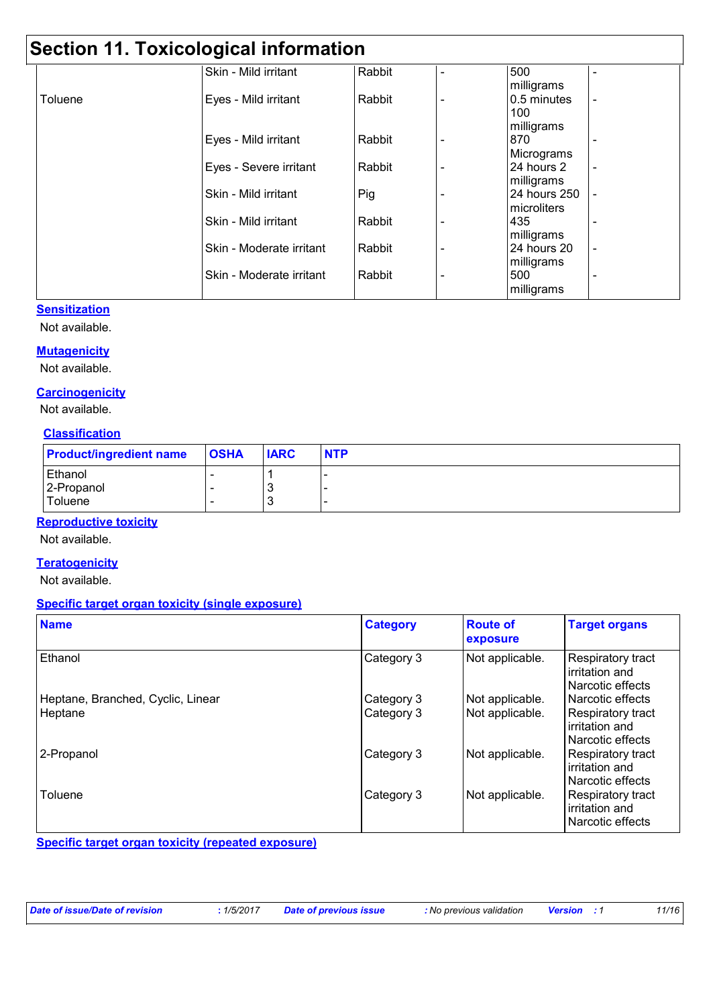## **Section 11. Toxicological information**

|         | Skin - Mild irritant     | Rabbit |   | 500          |                          |
|---------|--------------------------|--------|---|--------------|--------------------------|
|         |                          |        |   | milligrams   |                          |
| Toluene | Eyes - Mild irritant     | Rabbit |   | 0.5 minutes  | $\overline{\phantom{a}}$ |
|         |                          |        |   | 100          |                          |
|         |                          |        |   | milligrams   |                          |
|         | Eyes - Mild irritant     | Rabbit |   | 870          | $\overline{\phantom{0}}$ |
|         |                          |        |   | Micrograms   |                          |
|         | Eyes - Severe irritant   | Rabbit |   | 24 hours 2   | $\overline{\phantom{a}}$ |
|         |                          |        |   | milligrams   |                          |
|         | Skin - Mild irritant     | Pig    |   | 24 hours 250 |                          |
|         |                          |        |   | microliters  |                          |
|         | Skin - Mild irritant     | Rabbit | ٠ | 435          | $\overline{\phantom{a}}$ |
|         |                          |        |   | milligrams   |                          |
|         | Skin - Moderate irritant | Rabbit |   | 24 hours 20  | $\blacksquare$           |
|         |                          |        |   | milligrams   |                          |
|         | Skin - Moderate irritant | Rabbit |   | 500          | $\blacksquare$           |
|         |                          |        |   | milligrams   |                          |

#### **Sensitization**

Not available.

#### **Mutagenicity**

Not available.

#### **Carcinogenicity**

Not available.

#### **Classification**

| <b>Product/ingredient name</b> | <b>OSHA</b> | <b>IARC</b> | <b>NTP</b> |
|--------------------------------|-------------|-------------|------------|
| Ethanol                        |             |             |            |
| 2-Propanol                     |             | J           |            |
| Toluene                        |             | J           |            |

#### **Reproductive toxicity**

Not available.

#### **Teratogenicity**

Not available.

#### **Specific target organ toxicity (single exposure)**

| <b>Name</b>                       | <b>Category</b> | <b>Route of</b><br>exposure | <b>Target organs</b>                                    |
|-----------------------------------|-----------------|-----------------------------|---------------------------------------------------------|
| Ethanol                           | Category 3      | Not applicable.             | Respiratory tract<br>irritation and<br>Narcotic effects |
| Heptane, Branched, Cyclic, Linear | Category 3      | Not applicable.             | Narcotic effects                                        |
| <b>Heptane</b>                    | Category 3      | Not applicable.             | Respiratory tract<br>irritation and<br>Narcotic effects |
| 2-Propanol                        | Category 3      | Not applicable.             | Respiratory tract<br>irritation and<br>Narcotic effects |
| Toluene                           | Category 3      | Not applicable.             | Respiratory tract<br>irritation and<br>Narcotic effects |

**Specific target organ toxicity (repeated exposure)**

| Date of issue/Date of revision | 1/5/2017 | <b>Date of previous issue</b> | : No previous validation | <b>Version</b> : 1 | 11/16 |
|--------------------------------|----------|-------------------------------|--------------------------|--------------------|-------|
|--------------------------------|----------|-------------------------------|--------------------------|--------------------|-------|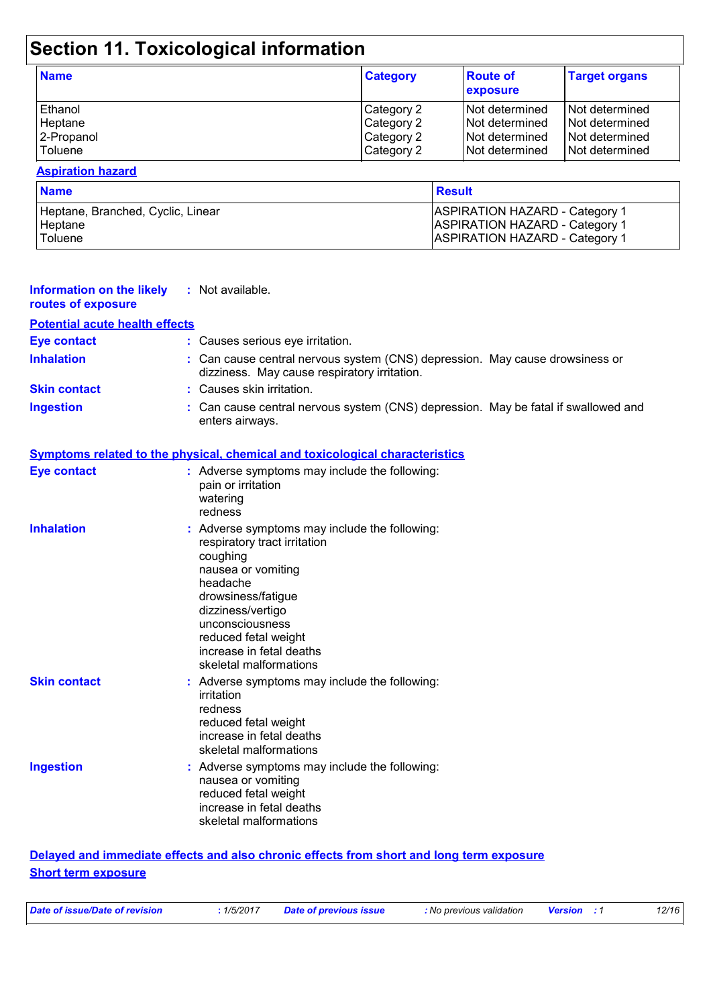## **Section 11. Toxicological information**

| <b>Name</b> | <b>Category</b> | <b>Route of</b><br>exposure | <b>Target organs</b> |
|-------------|-----------------|-----------------------------|----------------------|
| Ethanol     | Category 2      | INot determined             | l Not determined     |
| Heptane     | Category 2      | INot determined             | l Not determined     |
| 2-Propanol  | Category 2      | INot determined             | I Not determined     |
| l Toluene   | Category 2      | Not determined              | Not determined       |

#### **Aspiration hazard**

| <b>Name</b>                       | Result                                |
|-----------------------------------|---------------------------------------|
| Heptane, Branched, Cyclic, Linear | <b>ASPIRATION HAZARD - Category 1</b> |
| Heptane                           | <b>ASPIRATION HAZARD - Category 1</b> |
| <b>Toluene</b>                    | <b>ASPIRATION HAZARD - Category 1</b> |

| <b>Information on the likely</b><br>routes of exposure | : Not available.                                                                                                                                                                                                                                                        |
|--------------------------------------------------------|-------------------------------------------------------------------------------------------------------------------------------------------------------------------------------------------------------------------------------------------------------------------------|
| <b>Potential acute health effects</b>                  |                                                                                                                                                                                                                                                                         |
| <b>Eye contact</b>                                     | : Causes serious eye irritation.                                                                                                                                                                                                                                        |
| <b>Inhalation</b>                                      | : Can cause central nervous system (CNS) depression. May cause drowsiness or<br>dizziness. May cause respiratory irritation.                                                                                                                                            |
| <b>Skin contact</b>                                    | : Causes skin irritation.                                                                                                                                                                                                                                               |
| <b>Ingestion</b>                                       | Can cause central nervous system (CNS) depression. May be fatal if swallowed and<br>enters airways.                                                                                                                                                                     |
|                                                        | <b>Symptoms related to the physical, chemical and toxicological characteristics</b>                                                                                                                                                                                     |
| <b>Eye contact</b>                                     | : Adverse symptoms may include the following:<br>pain or irritation<br>watering<br>redness                                                                                                                                                                              |
| <b>Inhalation</b>                                      | : Adverse symptoms may include the following:<br>respiratory tract irritation<br>coughing<br>nausea or vomiting<br>headache<br>drowsiness/fatigue<br>dizziness/vertigo<br>unconsciousness<br>reduced fetal weight<br>increase in fetal deaths<br>skeletal malformations |
| <b>Skin contact</b>                                    | : Adverse symptoms may include the following:<br>irritation<br>redness<br>reduced fetal weight<br>increase in fetal deaths<br>skeletal malformations                                                                                                                    |
| <b>Ingestion</b>                                       | : Adverse symptoms may include the following:<br>nausea or vomiting<br>reduced fetal weight<br>increase in fetal deaths<br>skeletal malformations                                                                                                                       |

#### **Delayed and immediate effects and also chronic effects from short and long term exposure Short term exposure**

| Date of issue/Date of revision | .1/5/2017 | Date of previous issue | : No previous validation | <b>Version</b> : 1 | 12/16 |
|--------------------------------|-----------|------------------------|--------------------------|--------------------|-------|
|                                |           |                        |                          |                    |       |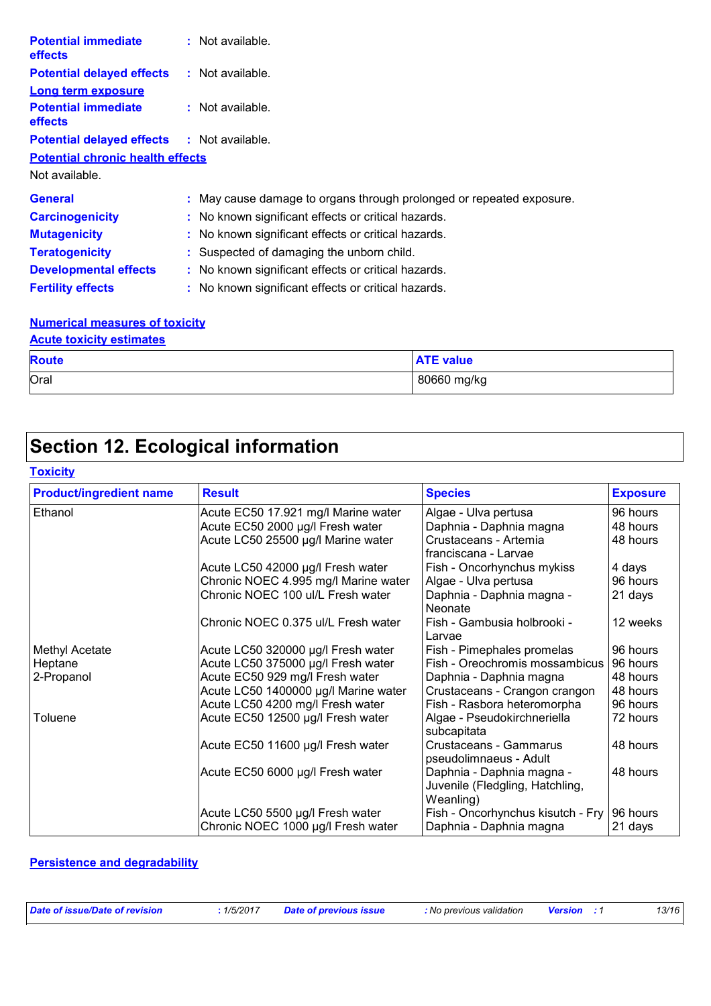| <b>Potential immediate</b><br><b>effects</b>      | : Not available.                                                     |
|---------------------------------------------------|----------------------------------------------------------------------|
| <b>Potential delayed effects</b>                  | $:$ Not available.                                                   |
| <b>Long term exposure</b>                         |                                                                      |
| <b>Potential immediate</b><br>effects             | : Not available.                                                     |
| <b>Potential delayed effects : Not available.</b> |                                                                      |
| <b>Potential chronic health effects</b>           |                                                                      |
| Not available.                                    |                                                                      |
| <b>General</b>                                    | : May cause damage to organs through prolonged or repeated exposure. |
| <b>Carcinogenicity</b>                            | : No known significant effects or critical hazards.                  |
| <b>Mutagenicity</b>                               | : No known significant effects or critical hazards.                  |
| <b>Teratogenicity</b>                             | : Suspected of damaging the unborn child.                            |
| <b>Developmental effects</b>                      | : No known significant effects or critical hazards.                  |
| <b>Fertility effects</b>                          | : No known significant effects or critical hazards.                  |

#### **Numerical measures of toxicity Acute toxicity estimates**

| <b>AVUID IDAIVILY COMMUNICO</b> |                  |  |  |  |  |  |  |
|---------------------------------|------------------|--|--|--|--|--|--|
| <b>Route</b>                    | <b>ATE value</b> |  |  |  |  |  |  |
| Oral                            | 80660 mg/kg      |  |  |  |  |  |  |

## **Section 12. Ecological information**

#### **Toxicity**

| <b>Product/ingredient name</b> | <b>Result</b>                        | <b>Species</b>                                                            | <b>Exposure</b> |
|--------------------------------|--------------------------------------|---------------------------------------------------------------------------|-----------------|
| Ethanol                        | Acute EC50 17.921 mg/l Marine water  | Algae - Ulva pertusa                                                      | 96 hours        |
|                                | Acute EC50 2000 µg/l Fresh water     | Daphnia - Daphnia magna                                                   | 48 hours        |
|                                | Acute LC50 25500 µg/l Marine water   | Crustaceans - Artemia<br>franciscana - Larvae                             | 48 hours        |
|                                | Acute LC50 42000 µg/l Fresh water    | Fish - Oncorhynchus mykiss                                                | 4 days          |
|                                | Chronic NOEC 4.995 mg/l Marine water | Algae - Ulva pertusa                                                      | 96 hours        |
|                                | Chronic NOEC 100 ul/L Fresh water    | Daphnia - Daphnia magna -<br>Neonate                                      | 21 days         |
|                                | Chronic NOEC 0.375 ul/L Fresh water  | Fish - Gambusia holbrooki -<br>Larvae                                     | 12 weeks        |
| <b>Methyl Acetate</b>          | Acute LC50 320000 µg/l Fresh water   | Fish - Pimephales promelas                                                | 96 hours        |
| Heptane                        | Acute LC50 375000 µg/l Fresh water   | Fish - Oreochromis mossambicus                                            | 96 hours        |
| 2-Propanol                     | Acute EC50 929 mg/l Fresh water      | Daphnia - Daphnia magna                                                   | 48 hours        |
|                                | Acute LC50 1400000 µg/l Marine water | Crustaceans - Crangon crangon                                             | 48 hours        |
|                                | Acute LC50 4200 mg/l Fresh water     | Fish - Rasbora heteromorpha                                               | 96 hours        |
| Toluene                        | Acute EC50 12500 µg/l Fresh water    | Algae - Pseudokirchneriella<br>subcapitata                                | 72 hours        |
|                                | Acute EC50 11600 µg/l Fresh water    | Crustaceans - Gammarus<br>pseudolimnaeus - Adult                          | 48 hours        |
|                                | Acute EC50 6000 µg/l Fresh water     | Daphnia - Daphnia magna -<br>Juvenile (Fledgling, Hatchling,<br>Weanling) | 48 hours        |
|                                | Acute LC50 5500 µg/l Fresh water     | Fish - Oncorhynchus kisutch - Fry                                         | 96 hours        |
|                                | Chronic NOEC 1000 µg/l Fresh water   | Daphnia - Daphnia magna                                                   | 21 days         |

#### **Persistence and degradability**

| Date of issue/Date of revision | .1/5/2017 | <b>Date of previous issue</b> | : No previous validation | <b>Version</b> : 1 | 13/16 |
|--------------------------------|-----------|-------------------------------|--------------------------|--------------------|-------|
|                                |           |                               |                          |                    |       |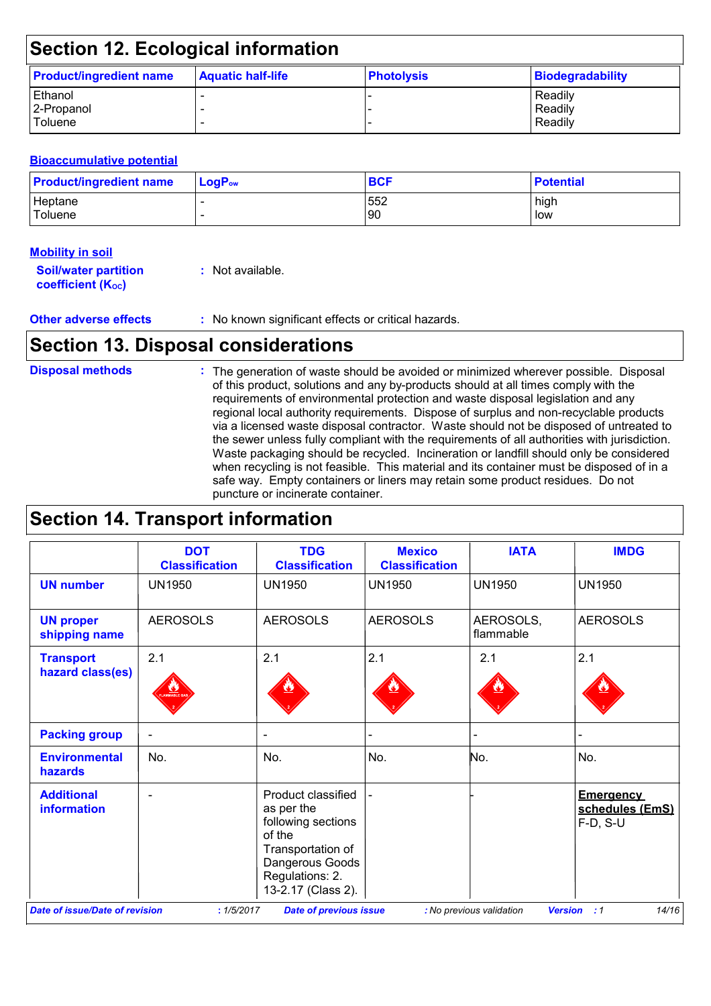## **Section 12. Ecological information**

| <b>Product/ingredient name</b> | <b>Aquatic half-life</b> | <b>Photolysis</b> | Biodegradability |
|--------------------------------|--------------------------|-------------------|------------------|
| Ethanol                        |                          |                   | Readily          |
| 2-Propanol                     |                          |                   | Readily          |
| Toluene                        |                          |                   | Readily          |

#### **Bioaccumulative potential**

| <b>Product/ingredient name</b> | $ $ LogP <sub>ow</sub> | <b>BCF</b> | <b>Potential</b> |
|--------------------------------|------------------------|------------|------------------|
| Heptane                        |                        | 552        | high             |
| Toluene                        |                        | 90         | low              |

#### **Mobility in soil**

| <b>Soil/water partition</b> | : Not available. |
|-----------------------------|------------------|
| <b>coefficient (Koc)</b>    |                  |

**Other adverse effects** : No known significant effects or critical hazards.

### **Section 13. Disposal considerations**

The generation of waste should be avoided or minimized wherever possible. Disposal of this product, solutions and any by-products should at all times comply with the requirements of environmental protection and waste disposal legislation and any regional local authority requirements. Dispose of surplus and non-recyclable products via a licensed waste disposal contractor. Waste should not be disposed of untreated to the sewer unless fully compliant with the requirements of all authorities with jurisdiction. Waste packaging should be recycled. Incineration or landfill should only be considered when recycling is not feasible. This material and its container must be disposed of in a safe way. Empty containers or liners may retain some product residues. Do not puncture or incinerate container. **Disposal methods :**

### **Section 14. Transport information**

|                                      | <b>DOT</b><br><b>Classification</b> | <b>TDG</b><br><b>Classification</b>                                                                                                               | <b>Mexico</b><br><b>Classification</b> | <b>IATA</b>            | <b>IMDG</b>                                     |
|--------------------------------------|-------------------------------------|---------------------------------------------------------------------------------------------------------------------------------------------------|----------------------------------------|------------------------|-------------------------------------------------|
| <b>UN number</b>                     | <b>UN1950</b>                       | <b>UN1950</b>                                                                                                                                     | <b>UN1950</b>                          | <b>UN1950</b>          | <b>UN1950</b>                                   |
| <b>UN proper</b><br>shipping name    | <b>AEROSOLS</b>                     | <b>AEROSOLS</b>                                                                                                                                   | <b>AEROSOLS</b>                        | AEROSOLS,<br>flammable | <b>AEROSOLS</b>                                 |
| <b>Transport</b><br>hazard class(es) | 2.1                                 | 2.1                                                                                                                                               | 2.1                                    | 2.1                    | 2.1                                             |
| <b>Packing group</b>                 | $\blacksquare$                      | $\blacksquare$                                                                                                                                    |                                        |                        |                                                 |
| <b>Environmental</b><br>hazards      | No.                                 | No.                                                                                                                                               | No.                                    | No.                    | No.                                             |
| <b>Additional</b><br>information     |                                     | Product classified<br>as per the<br>following sections<br>of the<br>Transportation of<br>Dangerous Goods<br>Regulations: 2.<br>13-2.17 (Class 2). |                                        |                        | <b>Emergency</b><br>schedules (EmS)<br>F-D, S-U |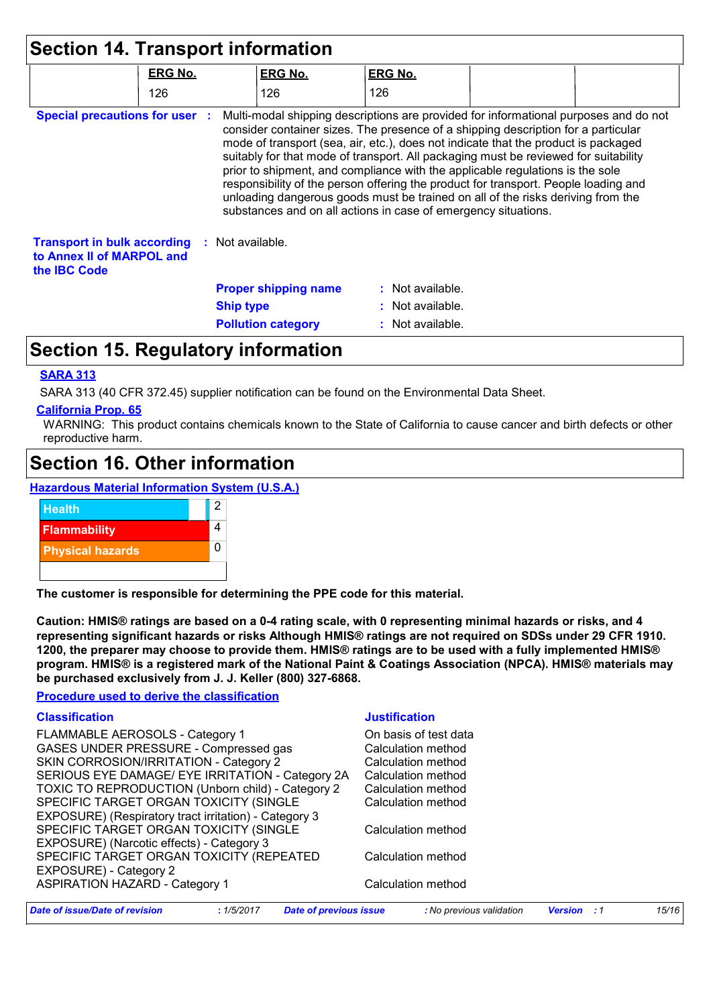|                                                                                        | <b>ERG No.</b> | <b>ERG No.</b>                                                                                                                                                                                                                                                                                                                                                                                                                                                                                                                                                                                                                                                                      | <b>ERG No.</b>   |  |
|----------------------------------------------------------------------------------------|----------------|-------------------------------------------------------------------------------------------------------------------------------------------------------------------------------------------------------------------------------------------------------------------------------------------------------------------------------------------------------------------------------------------------------------------------------------------------------------------------------------------------------------------------------------------------------------------------------------------------------------------------------------------------------------------------------------|------------------|--|
|                                                                                        | 126            | 126                                                                                                                                                                                                                                                                                                                                                                                                                                                                                                                                                                                                                                                                                 | 126              |  |
| <b>Special precautions for user :</b>                                                  |                | Multi-modal shipping descriptions are provided for informational purposes and do not<br>consider container sizes. The presence of a shipping description for a particular<br>mode of transport (sea, air, etc.), does not indicate that the product is packaged<br>suitably for that mode of transport. All packaging must be reviewed for suitability<br>prior to shipment, and compliance with the applicable regulations is the sole<br>responsibility of the person offering the product for transport. People loading and<br>unloading dangerous goods must be trained on all of the risks deriving from the<br>substances and on all actions in case of emergency situations. |                  |  |
| <b>Transport in bulk according</b><br>to Annex II of MARPOL and<br>the <b>IBC</b> Code |                | : Not available.                                                                                                                                                                                                                                                                                                                                                                                                                                                                                                                                                                                                                                                                    |                  |  |
|                                                                                        |                | <b>Proper shipping name</b>                                                                                                                                                                                                                                                                                                                                                                                                                                                                                                                                                                                                                                                         | : Not available. |  |
|                                                                                        |                | <b>Ship type</b>                                                                                                                                                                                                                                                                                                                                                                                                                                                                                                                                                                                                                                                                    | : Not available. |  |
|                                                                                        |                |                                                                                                                                                                                                                                                                                                                                                                                                                                                                                                                                                                                                                                                                                     |                  |  |

### **Section 15. Regulatory information**

#### **SARA 313**

SARA 313 (40 CFR 372.45) supplier notification can be found on the Environmental Data Sheet.

#### **California Prop. 65**

WARNING: This product contains chemicals known to the State of California to cause cancer and birth defects or other reproductive harm.

### **Section 16. Other information**

**Hazardous Material Information System (U.S.A.)**



**The customer is responsible for determining the PPE code for this material.**

**Caution: HMIS® ratings are based on a 0-4 rating scale, with 0 representing minimal hazards or risks, and 4 representing significant hazards or risks Although HMIS® ratings are not required on SDSs under 29 CFR 1910. 1200, the preparer may choose to provide them. HMIS® ratings are to be used with a fully implemented HMIS® program. HMIS® is a registered mark of the National Paint & Coatings Association (NPCA). HMIS® materials may be purchased exclusively from J. J. Keller (800) 327-6868.**

#### **Procedure used to derive the classification**

#### **Classification Justification**

FLAMMABLE AEROSOLS - Category 1 Cass Conducts of test data GASES UNDER PRESSURE - Compressed gas Calculation method SKIN CORROSION/IRRITATION - Category 2 Calculation method SERIOUS EYE DAMAGE/ EYE IRRITATION - Category 2A Calculation method TOXIC TO REPRODUCTION (Unborn child) - Category 2 Calculation method SPECIFIC TARGET ORGAN TOXICITY (SINGLE EXPOSURE) (Respiratory tract irritation) - Category 3 Calculation method SPECIFIC TARGET ORGAN TOXICITY (SINGLE EXPOSURE) (Narcotic effects) - Category 3 Calculation method SPECIFIC TARGET ORGAN TOXICITY (REPEATED EXPOSURE) Calculation method ASPIRATION

| Date of issue/Date of revision        | :1/5/2017 | Date of previous issue | : No previous validation | <b>Version</b> : 1 | 15/16 |
|---------------------------------------|-----------|------------------------|--------------------------|--------------------|-------|
| <b>ASPIRATION HAZARD - Category 1</b> |           | Calculation method     |                          |                    |       |
| EXPOSURE) - Category 2                |           |                        |                          |                    |       |
|                                       |           |                        | <u> 888888888888888</u>  |                    |       |